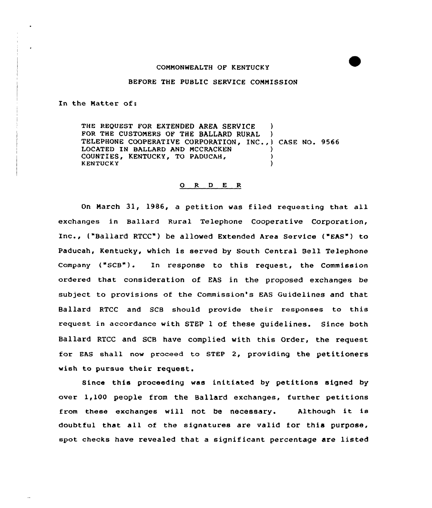## COMMONWEALTH OF KENTUCKY

#### BEFORE THE PUBLIC SERVICE COMMISSION

In the Matter of:

THE REQUEST FOR EXTENDED AREA SERVICE FOR THE CUSTOMERS OF THE BALLARD RURAL ) TELEPHONE COOPERATIVE CORPORATION, INC., ) CASE NO. 9566 LOCATED IN BALLARD AND MCCRACKEN COUNTIES, KENTUCKY, TO PADUCAH, ) **KENTUCKY** 

#### 0 R <sup>D</sup> E <sup>R</sup>

On March 31, 1986, a petition was filed requesting that all exchanges in Ballard Rural Telephone Cooperative Corporation, Inc., {"Ballard RTCC") be allowed Extended Area Service ("EAS") to Paducah, Kentucky, which is served by South Central Bell Telephone Company ("SCB"). In response to this request, the Commission ordered that consideration of EAS in the proposed exchanges be subject to provisions of the Commission's EAS Guidelines and that Ballard RTCC and SCB should provide their responses to this request in accordance with STEP 1 of these guidelines. Since both Ballard RTCC and SCB have complied with this Order, the request for EAS shall now proceed to STEP 2, providing the petitioners wish to pursue their request.

Since this proceeding was initiated by petitions signed by over 1,100 people from the Ballard exchanges, further petitions from these exchanges will not be necessary. Although it is doubtful that all of the signatures are valid for this purpose, spot checks have revealed that a significant percentage are listed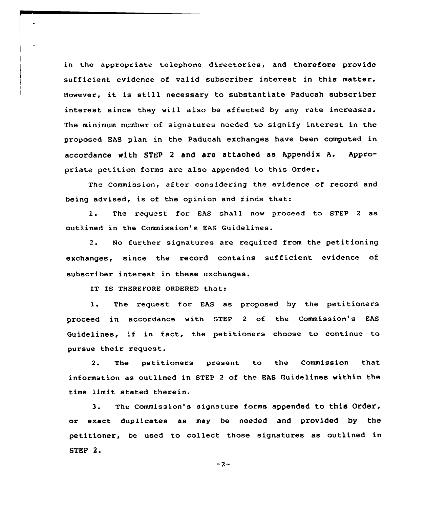in the appropriate telephone directories, and therefore provide sufficient evidence of valid subscriber interest in this matter. However, it is still necessary to substantiate Paducah subscriber interest since they will also be affected by any rate increases. The minimum number of signatures needed to signify interest in the proposed EAS plan in the Paducah exchanges have been computed in accordance with STEP <sup>2</sup> and are attached as Appendix A. Appropriate petition forms are also appended to this Order.

The Commission, after considering the evidence of record and being advised, is of the opinion and finds that:

1. The request for EAS shall now proceed to STEP 2 as outlined in the Commission's EAS Guidelines.

2. No further signatures are required from the petitioning exchanges, since the record contains sufficient evidence of subscriber interest in these exchanges.

IT IS THEREVORE ORDERED that:

1. The request for EAS as proposed by the petitioners proceed in accordance with STEP <sup>2</sup> of the Commission's EAS Guidelines, if in fact, the petitioners choose to continue to pursue their request.

2. The petitioners present to the Commission that information as outlined in STEP 2 of the EAS Guidelines within the time limit stated therein.

3. The Commission's signature forms appended to this Order, or exact duplicates as may be needed and provided by the petitioner, be used to collect those signatures as outlined in STEP 2.

 $-2-$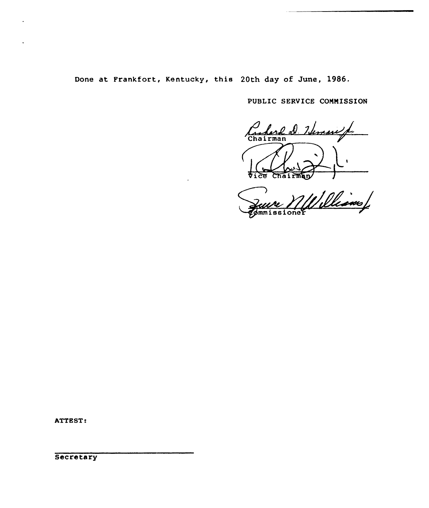Done at Frankfort, Kentucky, this 20th day of June, 1986.

PUBLIC SERVICE COMMISSION

Carlord D. Henry f. Vice Chairman

Juire MUWilliams

ATTEST: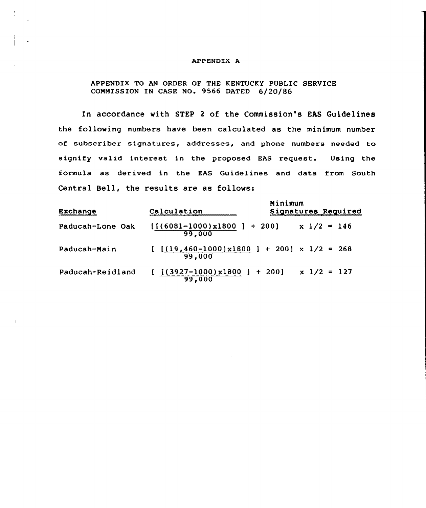### APPENDIX A

# APPENDIX TO AN ORDER OF THE KENTUCKY PUBLIC SERVICE COMMISSION IN CASE NO. 9566 DATED 6/20/86

In accordance with STEP <sup>2</sup> of the Commission's EAS Guidelines the following numbers have been calculated as the minimum number of subscriber signatures, addresses, and phone numbers needed to signify valid interest in the proposed EAS request. Using the formula as derived in the EAS Guidelines and data from South Central Bell, the results are as follows:

| Exchange         | Calculation                                               | Minimum<br>Signatures Required |
|------------------|-----------------------------------------------------------|--------------------------------|
| Paducah-Lone Oak | $[(6081-1000)x1800] + 200]$<br>99,000                     | $x \frac{1}{2} = 146$          |
| Paducah-Main     | $[[(19,460-1000)x1800] + 200] \times 1/2 = 268$<br>99,000 |                                |
| Paducah-Reidland | $[(3927-1000)x1800] + 200]$ x $1/2 = 127$<br>99,000       |                                |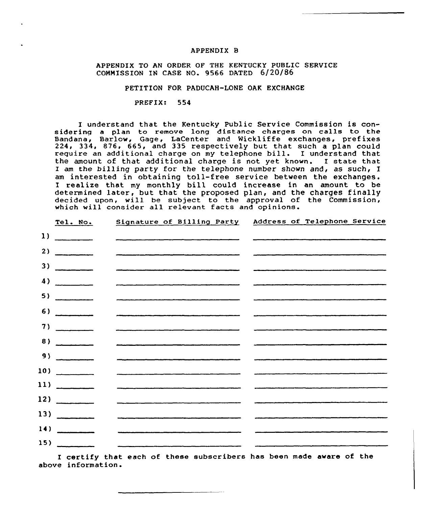# APPENDIX B

# APPENDIX TO AN ORDER OF THE KENTUCKY PUBLIC SERVICE COMMISSION IN CASE NO. 9566 DATED 6/20/86

# PETITION FOR PADUCAH-LONE OAK EXCHANGE

#### PREFIX: 554

I understand that the Kentucky Public Service Commission is considering <sup>a</sup> plan to remove long distance charges on calls to the Bandana, Barlow, Gage, LaCenter and Wickliffe exchanges, prefixe 224, 334, 876, 665, and 335 respectively but that such a plan could require an additional charge on my telephone bill. I understand that the amount of that additional charge is not yet known. I state that I am the billing party for the telephone number shown and, as such, I am interested in obtaining toll-free service between the exchanges. I realize that my monthly bill could increase in an amount to be determined later, but that the proposed plan, and the charges finally decided upon, will be subject to the approval of the Commission which will consider all relevant facts and opinions

|              | Tel. No.                                                                                                                                                                                                                                                                                                                                                                                                              | Signature of Billing Party                                                                                          | Address of Telephone Service                                                                                            |
|--------------|-----------------------------------------------------------------------------------------------------------------------------------------------------------------------------------------------------------------------------------------------------------------------------------------------------------------------------------------------------------------------------------------------------------------------|---------------------------------------------------------------------------------------------------------------------|-------------------------------------------------------------------------------------------------------------------------|
| $\mathbf{1}$ | $\frac{1}{1-\frac{1}{1-\frac{1}{1-\frac{1}{1-\frac{1}{1-\frac{1}{1-\frac{1}{1-\frac{1}{1-\frac{1}{1-\frac{1}{1-\frac{1}{1-\frac{1}{1-\frac{1}{1-\frac{1}{1-\frac{1}{1-\frac{1}{1-\frac{1}{1-\frac{1}{1-\frac{1}{1-\frac{1}{1-\frac{1}{1-\frac{1}{1-\frac{1}{1-\frac{1}{1-\frac{1}{1-\frac{1}{1-\frac{1}{1-\frac{1}{1-\frac{1}{1-\frac{1}{1-\frac{1}{1-\frac{1}{1-\frac{1}{1-\frac{1}{1-\frac{1}{1-\frac{1}{1-\frac{1$ |                                                                                                                     |                                                                                                                         |
| 2)           |                                                                                                                                                                                                                                                                                                                                                                                                                       |                                                                                                                     |                                                                                                                         |
| 3)           | $\begin{array}{c} \hline \end{array}$                                                                                                                                                                                                                                                                                                                                                                                 |                                                                                                                     |                                                                                                                         |
|              | 4)                                                                                                                                                                                                                                                                                                                                                                                                                    |                                                                                                                     |                                                                                                                         |
| 5)           | __________________                                                                                                                                                                                                                                                                                                                                                                                                    |                                                                                                                     |                                                                                                                         |
| 6)           |                                                                                                                                                                                                                                                                                                                                                                                                                       |                                                                                                                     |                                                                                                                         |
| 7)           | $\overline{\phantom{a}}$                                                                                                                                                                                                                                                                                                                                                                                              |                                                                                                                     | <u> 1966 - An Aonaichte an Aonaichte an Aonaichte ann an Aonaichte ann an Aonaichte ann an Aonaichte ann an Aonaich</u> |
| 8)           | $\overline{\phantom{a}}$                                                                                                                                                                                                                                                                                                                                                                                              |                                                                                                                     |                                                                                                                         |
| 9)           | $\frac{1}{2} \frac{1}{2} \left( \frac{1}{2} \frac{1}{2} \left( \frac{1}{2} \frac{1}{2} \left( \frac{1}{2} \frac{1}{2} \frac{1}{2} \frac{1}{2} \frac{1}{2} \frac{1}{2} \frac{1}{2} \frac{1}{2} \frac{1}{2} \frac{1}{2} \frac{1}{2} \frac{1}{2} \frac{1}{2} \frac{1}{2} \frac{1}{2} \frac{1}{2} \frac{1}{2} \frac{1}{2} \frac{1}{2} \frac{1}{2} \frac{1}{2} \frac{1}{2} \frac{1}{2} \frac{1}{2} \$                      |                                                                                                                     |                                                                                                                         |
|              | 10)                                                                                                                                                                                                                                                                                                                                                                                                                   | and the contract of the company of the contract of the company of the company of the contract of the company of the |                                                                                                                         |
|              | $\frac{11}{\sqrt{11}}$                                                                                                                                                                                                                                                                                                                                                                                                |                                                                                                                     |                                                                                                                         |
|              | $\frac{12}{}$                                                                                                                                                                                                                                                                                                                                                                                                         |                                                                                                                     |                                                                                                                         |
|              | 13)                                                                                                                                                                                                                                                                                                                                                                                                                   |                                                                                                                     |                                                                                                                         |
| 14)          | <u> 2001 - 2002 - 2003 - 2004 - 200</u>                                                                                                                                                                                                                                                                                                                                                                               |                                                                                                                     |                                                                                                                         |
|              | 15)                                                                                                                                                                                                                                                                                                                                                                                                                   |                                                                                                                     |                                                                                                                         |

I certify that each of these subscribers has been made aware of the above information.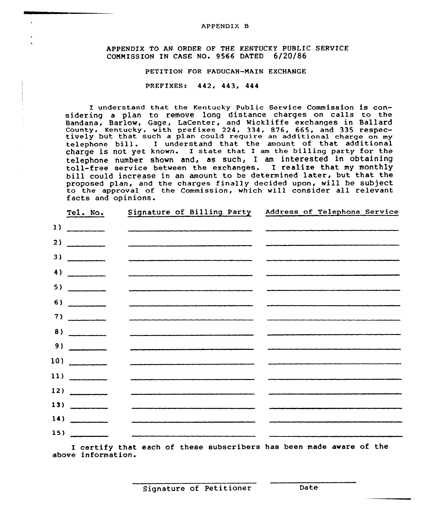APPENDIX 8

APPENDIX TO AN ORDER OF THE KENTUCKY PUBLIC SERVICE CONNISSION IN CASE NO. 9566 DATED 6/20/86

PETITION FOR PADUCAH-MAIN EXCHANGE

### PREFIXES: 442, 443, 444

I understand that the Kentucky Public Service Commission is considering <sup>a</sup> plan to remove long distance charges on calls to the Bandana, Barlow, Gage, LaCenter, and Wickliffe exchanges in Ballar County, Kentucky, with prefixes 224, 334, 876, 665, and <sup>335</sup> respec- tively but that such <sup>a</sup> plan could require an additional charge on my telephone bill. I undexstand that the amount of that additional charge is not yet known. I state that I am the billing party for the telephone number shown and, as such, I am interested in obtaining toll-free service between the exchanges. I realize that my monthly bill could increase in an amount to be determined later, but that the proposed plan, and the charges finally decided upon, will be subject to the approval of the Commission, which will consider all relevant facts and opinions.

|              | Tel. No.                                                                                                                                                                                                                                                                                                                                                                                                                                                                               | Signature of Billing Party                                                                                                                                                                                                       | Address of Telephone Service                                                                                    |
|--------------|----------------------------------------------------------------------------------------------------------------------------------------------------------------------------------------------------------------------------------------------------------------------------------------------------------------------------------------------------------------------------------------------------------------------------------------------------------------------------------------|----------------------------------------------------------------------------------------------------------------------------------------------------------------------------------------------------------------------------------|-----------------------------------------------------------------------------------------------------------------|
| $\mathbf{1}$ | $\begin{array}{cccccccccc} \multicolumn{2}{c}{} & \multicolumn{2}{c}{} & \multicolumn{2}{c}{} & \multicolumn{2}{c}{} & \multicolumn{2}{c}{} & \multicolumn{2}{c}{} & \multicolumn{2}{c}{} & \multicolumn{2}{c}{} & \multicolumn{2}{c}{} & \multicolumn{2}{c}{} & \multicolumn{2}{c}{} & \multicolumn{2}{c}{} & \multicolumn{2}{c}{} & \multicolumn{2}{c}{} & \multicolumn{2}{c}{} & \multicolumn{2}{c}{} & \multicolumn{2}{c}{} & \multicolumn{2}{c}{} & \multicolumn{2}{c}{} & \mult$ |                                                                                                                                                                                                                                  |                                                                                                                 |
| 2)           |                                                                                                                                                                                                                                                                                                                                                                                                                                                                                        |                                                                                                                                                                                                                                  | a sa mga sinalit ng King Kabupatèn Bandara Sang Pilipinas Sang Pilipinas ng Pilipinas. Sa pagpalawang pang pang |
| 3)           |                                                                                                                                                                                                                                                                                                                                                                                                                                                                                        |                                                                                                                                                                                                                                  |                                                                                                                 |
|              | 4)                                                                                                                                                                                                                                                                                                                                                                                                                                                                                     |                                                                                                                                                                                                                                  |                                                                                                                 |
|              | 5)                                                                                                                                                                                                                                                                                                                                                                                                                                                                                     |                                                                                                                                                                                                                                  |                                                                                                                 |
| 6)           |                                                                                                                                                                                                                                                                                                                                                                                                                                                                                        |                                                                                                                                                                                                                                  |                                                                                                                 |
|              | 7)                                                                                                                                                                                                                                                                                                                                                                                                                                                                                     |                                                                                                                                                                                                                                  |                                                                                                                 |
| 8)           | $\begin{array}{cccccccccc} \multicolumn{2}{c}{} & \multicolumn{2}{c}{} & \multicolumn{2}{c}{} & \multicolumn{2}{c}{} & \multicolumn{2}{c}{} & \multicolumn{2}{c}{} & \multicolumn{2}{c}{} & \multicolumn{2}{c}{} & \multicolumn{2}{c}{} & \multicolumn{2}{c}{} & \multicolumn{2}{c}{} & \multicolumn{2}{c}{} & \multicolumn{2}{c}{} & \multicolumn{2}{c}{} & \multicolumn{2}{c}{} & \multicolumn{2}{c}{} & \multicolumn{2}{c}{} & \multicolumn{2}{c}{} & \multicolumn{2}{c}{} & \mult$ |                                                                                                                                                                                                                                  |                                                                                                                 |
| 9)           | $\frac{1}{1-\frac{1}{2-\frac{1}{2-\frac{1}{2-\frac{1}{2-\frac{1}{2-\frac{1}{2-\frac{1}{2-\frac{1}{2-\frac{1}{2-\frac{1}{2-\frac{1}{2-\frac{1}{2-\frac{1}{2-\frac{1}{2-\frac{1}{2-\frac{1}{2-\frac{1}{2-\frac{1}{2-\frac{1}{2-\frac{1}{2-\frac{1}{2-\frac{1}{2-\frac{1}{2-\frac{1}{2-\frac{1}{2-\frac{1}{2-\frac{1}{2-\frac{1}{2-\frac{1}{2-\frac{1}{2-\frac{1}{2-\frac{1}{2-\frac{1}{2-\frac{1}{2-\frac{1}{2-\frac{1$                                                                  | میں اس کا شہر کی سروری سے میں اس کا میں اس کا سے اسے ملک کی بھی بھی سو بھی اس کی انہیں جاسی سے بھی سروری مذہبی<br>اس کا اس کا شہر کی سروری سے میں اس کا میں اس کا سے اسے ملک سے میں بھی سو سے بھی اس کی سروری میں سے میں میں اور |                                                                                                                 |
|              | 10)                                                                                                                                                                                                                                                                                                                                                                                                                                                                                    |                                                                                                                                                                                                                                  |                                                                                                                 |
|              | $\left  \frac{11}{2} \right $                                                                                                                                                                                                                                                                                                                                                                                                                                                          |                                                                                                                                                                                                                                  |                                                                                                                 |
|              | 12)                                                                                                                                                                                                                                                                                                                                                                                                                                                                                    |                                                                                                                                                                                                                                  |                                                                                                                 |
|              | 13)                                                                                                                                                                                                                                                                                                                                                                                                                                                                                    |                                                                                                                                                                                                                                  |                                                                                                                 |
|              | 14)                                                                                                                                                                                                                                                                                                                                                                                                                                                                                    |                                                                                                                                                                                                                                  |                                                                                                                 |
|              | 15)                                                                                                                                                                                                                                                                                                                                                                                                                                                                                    |                                                                                                                                                                                                                                  |                                                                                                                 |

I cextify that each of these subscribers has been made aware of the above information.